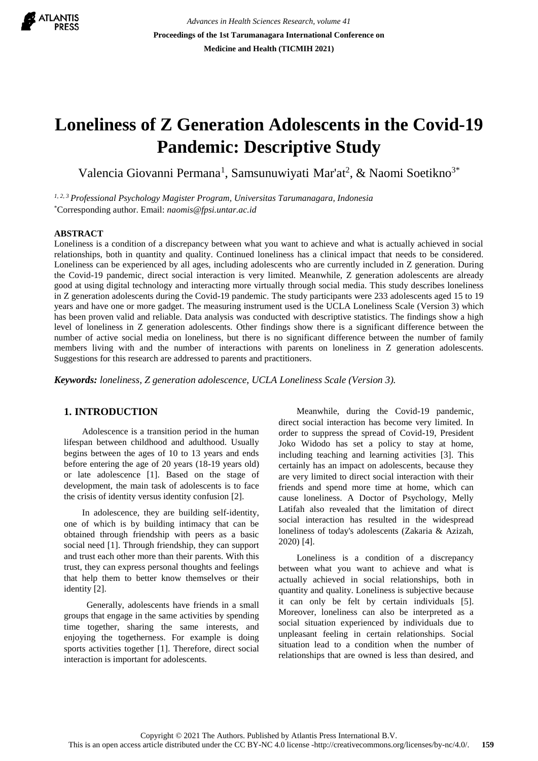

*Advances in Health Sciences Research, volume 41* **Proceedings of the 1st Tarumanagara International Conference on Medicine and Health (TICMIH 2021)**

# **Loneliness of Z Generation Adolescents in the Covid-19 Pandemic: Descriptive Study**

Valencia Giovanni Permana<sup>1</sup>, Samsunuwiyati Mar'at<sup>2</sup>, & Naomi Soetikno<sup>3\*</sup>

*1, 2, 3 Professional Psychology Magister Program, Universitas Tarumanagara, Indonesia* \*Corresponding author. Email: *[naomis@fpsi.untar.ac.id](mailto:naomis@fpsi.untar.ac.id)*

#### **ABSTRACT**

Loneliness is a condition of a discrepancy between what you want to achieve and what is actually achieved in social relationships, both in quantity and quality. Continued loneliness has a clinical impact that needs to be considered. Loneliness can be experienced by all ages, including adolescents who are currently included in Z generation. During the Covid-19 pandemic, direct social interaction is very limited. Meanwhile, Z generation adolescents are already good at using digital technology and interacting more virtually through social media. This study describes loneliness in Z generation adolescents during the Covid-19 pandemic. The study participants were 233 adolescents aged 15 to 19 years and have one or more gadget. The measuring instrument used is the UCLA Loneliness Scale (Version 3) which has been proven valid and reliable. Data analysis was conducted with descriptive statistics. The findings show a high level of loneliness in Z generation adolescents. Other findings show there is a significant difference between the number of active social media on loneliness, but there is no significant difference between the number of family members living with and the number of interactions with parents on loneliness in Z generation adolescents. Suggestions for this research are addressed to parents and practitioners.

*Keywords: loneliness, Z generation adolescence, UCLA Loneliness Scale (Version 3).*

## **1. INTRODUCTION**

Adolescence is a transition period in the human lifespan between childhood and adulthood. Usually begins between the ages of 10 to 13 years and ends before entering the age of 20 years (18-19 years old) or late adolescence [1]. Based on the stage of development, the main task of adolescents is to face the crisis of identity versus identity confusion [2].

In adolescence, they are building self-identity, one of which is by building intimacy that can be obtained through friendship with peers as a basic social need [1]. Through friendship, they can support and trust each other more than their parents. With this trust, they can express personal thoughts and feelings that help them to better know themselves or their identity [2].

 Generally, adolescents have friends in a small groups that engage in the same activities by spending time together, sharing the same interests, and enjoying the togetherness. For example is doing sports activities together [1]. Therefore, direct social interaction is important for adolescents.

Meanwhile, during the Covid-19 pandemic, direct social interaction has become very limited. In order to suppress the spread of Covid-19, President Joko Widodo has set a policy to stay at home, including teaching and learning activities [3]. This certainly has an impact on adolescents, because they are very limited to direct social interaction with their friends and spend more time at home, which can cause loneliness. A Doctor of Psychology, Melly Latifah also revealed that the limitation of direct social interaction has resulted in the widespread loneliness of today's adolescents (Zakaria & Azizah, 2020) [4].

Loneliness is a condition of a discrepancy between what you want to achieve and what is actually achieved in social relationships, both in quantity and quality. Loneliness is subjective because it can only be felt by certain individuals [5]. Moreover, loneliness can also be interpreted as a social situation experienced by individuals due to unpleasant feeling in certain relationships. Social situation lead to a condition when the number of relationships that are owned is less than desired, and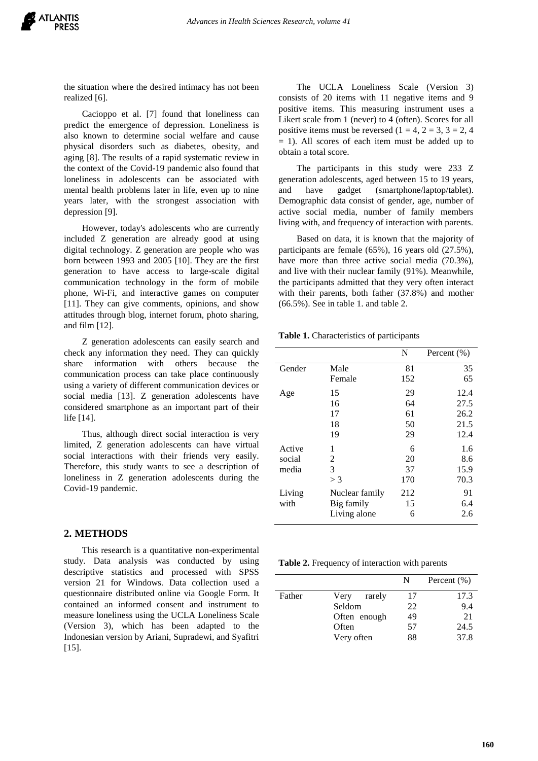the situation where the desired intimacy has not been realized [6].

Cacioppo et al. [7] found that loneliness can predict the emergence of depression. Loneliness is also known to determine social welfare and cause physical disorders such as diabetes, obesity, and aging [8]. The results of a rapid systematic review in the context of the Covid-19 pandemic also found that loneliness in adolescents can be associated with mental health problems later in life, even up to nine years later, with the strongest association with depression [9].

However, today's adolescents who are currently included Z generation are already good at using digital technology. Z generation are people who was born between 1993 and 2005 [10]. They are the first generation to have access to large-scale digital communication technology in the form of mobile phone, Wi-Fi, and interactive games on computer [11]. They can give comments, opinions, and show attitudes through blog, internet forum, photo sharing, and film [12].

Z generation adolescents can easily search and check any information they need. They can quickly share information with others because the communication process can take place continuously using a variety of different communication devices or social media [13]. Z generation adolescents have considered smartphone as an important part of their life [14].

Thus, although direct social interaction is very limited, Z generation adolescents can have virtual social interactions with their friends very easily. Therefore, this study wants to see a description of loneliness in Z generation adolescents during the Covid-19 pandemic.

# **2. METHODS**

This research is a quantitative non-experimental study. Data analysis was conducted by using descriptive statistics and processed with SPSS version 21 for Windows. Data collection used a questionnaire distributed online via Google Form. It contained an informed consent and instrument to measure loneliness using the UCLA Loneliness Scale (Version 3), which has been adapted to the Indonesian version by Ariani, Supradewi, and Syafitri [15].

The UCLA Loneliness Scale (Version 3) consists of 20 items with 11 negative items and 9 positive items. This measuring instrument uses a Likert scale from 1 (never) to 4 (often). Scores for all positive items must be reversed  $(1 = 4, 2 = 3, 3 = 2, 4)$ = 1). All scores of each item must be added up to obtain a total score.

The participants in this study were 233 Z generation adolescents, aged between 15 to 19 years, and have gadget (smartphone/laptop/tablet). Demographic data consist of gender, age, number of active social media, number of family members living with, and frequency of interaction with parents.

Based on data, it is known that the majority of participants are female (65%), 16 years old (27.5%), have more than three active social media (70.3%), and live with their nuclear family (91%). Meanwhile, the participants admitted that they very often interact with their parents, both father (37.8%) and mother (66.5%). See in table 1. and table 2.

**Table 1.** Characteristics of participants

|        |                | N   | Percent $(\% )$ |
|--------|----------------|-----|-----------------|
| Gender | Male           | 81  | 35              |
|        | Female         | 152 | 65              |
| Age    | 15             | 29  | 12.4            |
|        | 16             | 64  | 27.5            |
|        | 17             | 61  | 26.2            |
|        | 18             | 50  | 21.5            |
|        | 19             | 29  | 12.4            |
| Active | 1              | 6   | 1.6             |
| social | 2              | 20  | 8.6             |
| media  | 3              | 37  | 15.9            |
|        | $>$ 3          | 170 | 70.3            |
| Living | Nuclear family | 212 | 91              |
| with   | Big family     | 15  | 6.4             |
|        | Living alone   | 6   | 2.6             |

**Table 2.** Frequency of interaction with parents

|        |                | N  | Percent $(\% )$ |
|--------|----------------|----|-----------------|
| Father | Very<br>rarely | 17 | 17.3            |
|        | Seldom         | 22 | 9.4             |
|        | Often enough   | 49 | 21              |
|        | Often          | 57 | 24.5            |
|        | Very often     | 88 | 37.8            |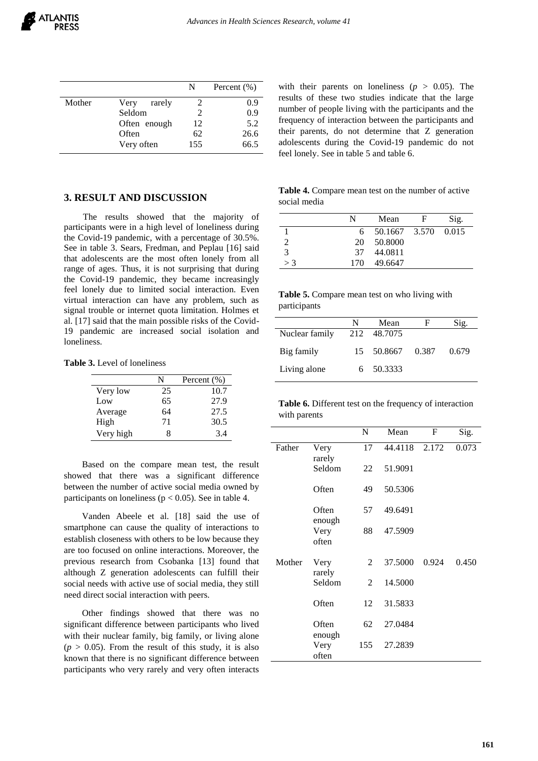|        |                | N             | Percent $(\% )$ |
|--------|----------------|---------------|-----------------|
| Mother | Very<br>rarely |               | 0.9             |
|        | Seldom         | $\mathcal{L}$ | 0.9             |
|        | Often enough   | 12            | 5.2             |
|        | Often          | 62            | 26.6            |
|        | Very often     | 155           | 66.5            |

### **3. RESULT AND DISCUSSION**

The results showed that the majority of participants were in a high level of loneliness during the Covid-19 pandemic, with a percentage of 30.5%. See in table 3. Sears, Fredman, and Peplau [16] said that adolescents are the most often lonely from all range of ages. Thus, it is not surprising that during the Covid-19 pandemic, they became increasingly feel lonely due to limited social interaction. Even virtual interaction can have any problem, such as signal trouble or internet quota limitation. Holmes et al. [17] said that the main possible risks of the Covid-19 pandemic are increased social isolation and loneliness.

**Table 3.** Level of loneliness

|           | N  | Percent $(\% )$ |
|-----------|----|-----------------|
| Very low  | 25 | 10.7            |
| Low       | 65 | 27.9            |
| Average   | 64 | 27.5            |
| High      | 71 | 30.5            |
| Very high |    | 34              |

Based on the compare mean test, the result showed that there was a significant difference between the number of active social media owned by participants on loneliness ( $p < 0.05$ ). See in table 4.

Vanden Abeele et al. [18] said the use of smartphone can cause the quality of interactions to establish closeness with others to be low because they are too focused on online interactions. Moreover, the previous research from Csobanka [13] found that although Z generation adolescents can fulfill their social needs with active use of social media, they still need direct social interaction with peers.

Other findings showed that there was no significant difference between participants who lived with their nuclear family, big family, or living alone  $(p > 0.05)$ . From the result of this study, it is also known that there is no significant difference between participants who very rarely and very often interacts with their parents on loneliness ( $p > 0.05$ ). The results of these two studies indicate that the large number of people living with the participants and the frequency of interaction between the participants and their parents, do not determine that Z generation adolescents during the Covid-19 pandemic do not feel lonely. See in table 5 and table 6.

**Table 4.** Compare mean test on the number of active social media

|       | N   | Mean          | F | Sig.  |
|-------|-----|---------------|---|-------|
|       | 6   | 50.1667 3.570 |   | 0.015 |
|       | 20  | 50.8000       |   |       |
| 3     | 37  | 44.0811       |   |       |
| $>$ 3 | 170 | 49.6647       |   |       |

| Table 5. Compare mean test on who living with |  |  |  |  |
|-----------------------------------------------|--|--|--|--|
| participants                                  |  |  |  |  |

|                | N | Mean             | F | Sig.  |
|----------------|---|------------------|---|-------|
| Nuclear family |   | 212 48.7075      |   |       |
| Big family     |   | 15 50.8667 0.387 |   | 0.679 |
| Living alone   |   | 6 50.3333        |   |       |

|              | Table 6. Different test on the frequency of interaction |  |
|--------------|---------------------------------------------------------|--|
| with parents |                                                         |  |

|        |                 | N              | Mean    | $\mathbf{F}$ | Sig.  |
|--------|-----------------|----------------|---------|--------------|-------|
| Father | Very<br>rarely  | 17             | 44.4118 | 2.172        | 0.073 |
|        | Seldom          | 22             | 51.9091 |              |       |
|        | Often           | 49             | 50.5306 |              |       |
|        | Often<br>enough | 57             | 49.6491 |              |       |
|        | Very<br>often   | 88             | 47.5909 |              |       |
| Mother | Very<br>rarely  | 2              | 37.5000 | 0.924        | 0.450 |
|        | Seldom          | $\mathfrak{D}$ | 14.5000 |              |       |
|        | Often           | 12             | 31.5833 |              |       |
|        | Often<br>enough | 62             | 27.0484 |              |       |
|        | Very<br>often   | 155            | 27.2839 |              |       |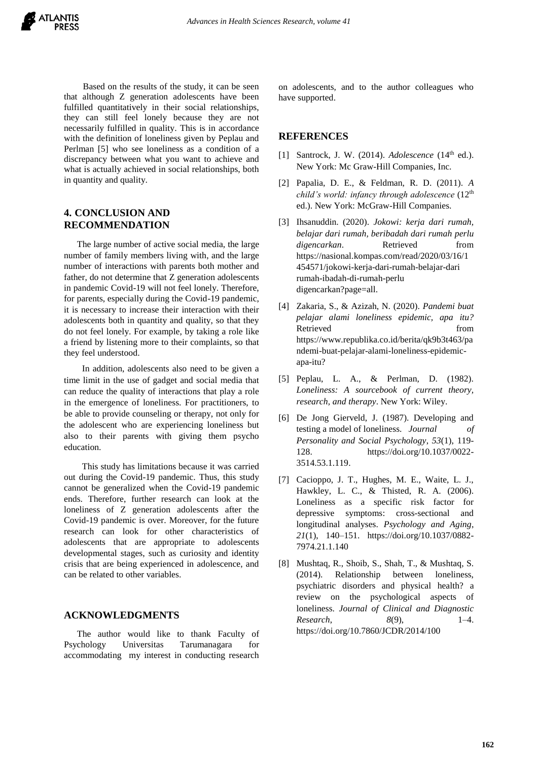Based on the results of the study, it can be seen that although Z generation adolescents have been fulfilled quantitatively in their social relationships, they can still feel lonely because they are not necessarily fulfilled in quality. This is in accordance with the definition of loneliness given by Peplau and Perlman [5] who see loneliness as a condition of a discrepancy between what you want to achieve and what is actually achieved in social relationships, both in quantity and quality.

# **4. CONCLUSION AND RECOMMENDATION**

The large number of active social media, the large number of family members living with, and the large number of interactions with parents both mother and father, do not determine that Z generation adolescents in pandemic Covid-19 will not feel lonely. Therefore, for parents, especially during the Covid-19 pandemic, it is necessary to increase their interaction with their adolescents both in quantity and quality, so that they do not feel lonely. For example, by taking a role like a friend by listening more to their complaints, so that they feel understood.

In addition, adolescents also need to be given a time limit in the use of gadget and social media that can reduce the quality of interactions that play a role in the emergence of loneliness. For practitioners, to be able to provide counseling or therapy, not only for the adolescent who are experiencing loneliness but also to their parents with giving them psycho education.

This study has limitations because it was carried out during the Covid-19 pandemic. Thus, this study cannot be generalized when the Covid-19 pandemic ends. Therefore, further research can look at the loneliness of Z generation adolescents after the Covid-19 pandemic is over. Moreover, for the future research can look for other characteristics of adolescents that are appropriate to adolescents developmental stages, such as curiosity and identity crisis that are being experienced in adolescence, and can be related to other variables.

### **ACKNOWLEDGMENTS**

The author would like to thank Faculty of Psychology Universitas Tarumanagara for accommodating my interest in conducting research on adolescents, and to the author colleagues who have supported.

#### **REFERENCES**

- [1] Santrock, J. W. (2014). *Adolescence* (14<sup>th</sup> ed.). New York: Mc Graw-Hill Companies, Inc.
- [2] Papalia, D. E., & Feldman, R. D. (2011). *A child's world: infancy through adolescence* (12th ed.). New York: McGraw-Hill Companies.
- [3] Ihsanuddin. (2020). *Jokowi: kerja dari rumah, belajar dari rumah, beribadah dari rumah perlu digencarkan*. Retrieved from [https://nasional.kompas.com/read/2020/03/16/1](https://nasional.kompas.com/read/2020/03/16/15454571/jokowi-kerja-dari-rumah-bel) [454571/jokowi-kerja-dari-rumah-bela](https://nasional.kompas.com/read/2020/03/16/15454571/jokowi-kerja-dari-rumah-bel)jar-dari rumah-ibadah-di-rumah-perlu digencarkan?page=all.
- [4] Zakaria, S., & Azizah, N. (2020). *Pandemi buat pelajar alami loneliness epidemic, apa itu?*  Retrieved from from  $\sim$ [https://www.republika.co.id/berita/qk9b3t463/pa](https://www.republika.co.id/berita/qk9b3t463/pandemi-buat-pelajar-alami-emloneliness-epid) [ndemi-buat-pelajar-alami-loneliness-epide](https://www.republika.co.id/berita/qk9b3t463/pandemi-buat-pelajar-alami-emloneliness-epid)micapa-itu?
- [5] Peplau, L. A., & Perlman, D. (1982). *Loneliness: A sourcebook of current theory, research, and therapy*. New York: Wiley.
- [6] De Jong Gierveld, J. (1987). Developing and testing a model of loneliness. *Journal of Personality and Social Psychology*, *53*(1), 119- 128. [https://doi.org/10.1037/0022-](https://doi.org/10.1037/0022-3514.53.1.119.) [3514.53.1.119.](https://doi.org/10.1037/0022-3514.53.1.119.)
- [7] Cacioppo, J. T., Hughes, M. E., Waite, L. J., Hawkley, L. C., & Thisted, R. A. (2006). Loneliness as a specific risk factor for depressive symptoms: cross-sectional and longitudinal analyses. *Psychology and Aging*, *21*(1), 140–151. https://doi.org/10.1037/0882- 7974.21.1.140
- [8] Mushtaq, R., Shoib, S., Shah, T., & Mushtaq, S. (2014). Relationship between loneliness, psychiatric disorders and physical health? a review on the psychological aspects of loneliness. *Journal of Clinical and Diagnostic Research*, *8*(9), 1–4. <https://doi.org/10.7860/JCDR/2014/100>